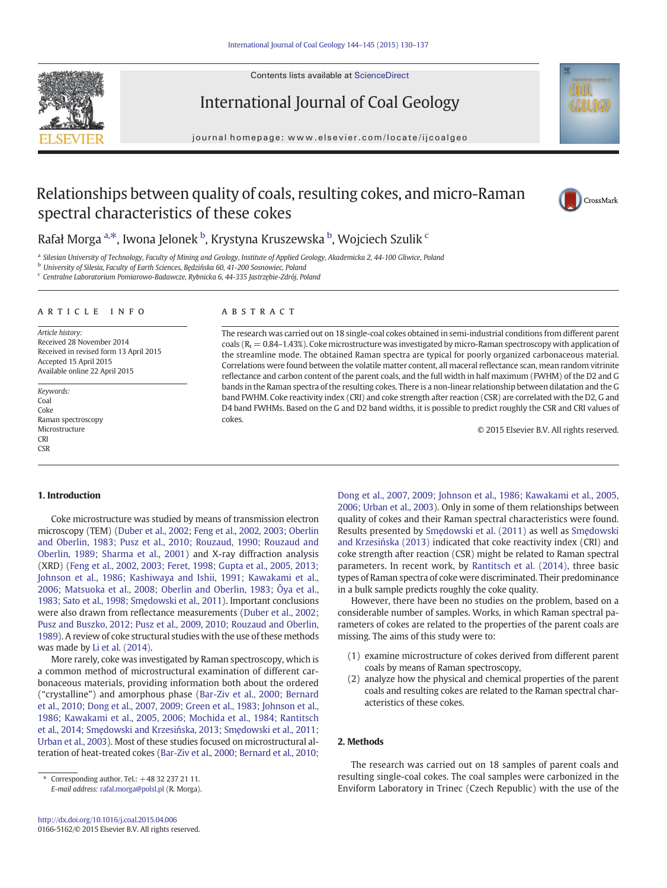

Contents lists available at ScienceDirect

# International Journal of Coal Geology

journal homepage: www.elsevier.com/locate/ijcoalgeo

# Relationships between quality of coals, resulting cokes, and micro-Raman spectral characteristics of these cokes



## Rafał Morga <sup>a,\*</sup>, Iwona Jelonek <sup>b</sup>, Krystyna Kruszewska <sup>b</sup>, Wojciech Szulik <sup>c</sup>

a Silesian University of Technology, Faculty of Mining and Geology, Institute of Applied Geology, Akademicka 2, 44-100 Gliwice, Poland

<sup>b</sup> University of Silesia, Faculty of Earth Sciences, Będzińska 60, 41-200 Sosnowiec, Poland

<sup>c</sup> Centralne Laboratorium Pomiarowo-Badawcze, Rybnicka 6, 44-335 Jastrzębie-Zdrój, Poland

### article info abstract

Article history: Received 28 November 2014 Received in revised form 13 April 2015 Accepted 15 April 2015 Available online 22 April 2015

Keywords: Coal Coke Raman spectroscopy Microstructure CRI  $C$ SR

The research was carried out on 18 single-coal cokes obtained in semi-industrial conditions from different parent coals ( $R_r = 0.84$ –1.43%). Coke microstructure was investigated by micro-Raman spectroscopy with application of the streamline mode. The obtained Raman spectra are typical for poorly organized carbonaceous material. Correlations were found between the volatile matter content, all maceral reflectance scan, mean random vitrinite reflectance and carbon content of the parent coals, and the full width in half maximum (FWHM) of the D2 and G bands in the Raman spectra of the resulting cokes. There is a non-linear relationship between dilatation and the G band FWHM. Coke reactivity index (CRI) and coke strength after reaction (CSR) are correlated with the D2, G and D4 band FWHMs. Based on the G and D2 band widths, it is possible to predict roughly the CSR and CRI values of cokes.

© 2015 Elsevier B.V. All rights reserved.

## 1. Introduction

Coke microstructure was studied by means of transmission electron microscopy (TEM) ([Duber et al., 2002; Feng et al., 2002, 2003; Oberlin](#page--1-0) [and Oberlin, 1983; Pusz et al., 2010; Rouzaud, 1990; Rouzaud and](#page--1-0) [Oberlin, 1989; Sharma et al., 2001\)](#page--1-0) and X-ray diffraction analysis (XRD) ([Feng et al., 2002, 2003; Feret, 1998; Gupta et al., 2005, 2013;](#page--1-0) [Johnson et al., 1986; Kashiwaya and Ishii, 1991; Kawakami et al.,](#page--1-0) [2006; Matsuoka et al., 2008; Oberlin and Oberlin, 1983;](#page--1-0) Ōya et al., [1983; Sato et al., 1998; Sm](#page--1-0)ędowski et al., 2011). Important conclusions were also drawn from reflectance measurements ([Duber et al., 2002;](#page--1-0) [Pusz and Buszko, 2012; Pusz et al., 2009, 2010; Rouzaud and Oberlin,](#page--1-0) [1989\)](#page--1-0). A review of coke structural studies with the use of these methods was made by [Li et al. \(2014\).](#page--1-0)

More rarely, coke was investigated by Raman spectroscopy, which is a common method of microstructural examination of different carbonaceous materials, providing information both about the ordered ("crystalline") and amorphous phase [\(Bar-Ziv et al., 2000; Bernard](#page--1-0) [et al., 2010; Dong et al., 2007, 2009; Green et al., 1983; Johnson et al.,](#page--1-0) [1986; Kawakami et al., 2005, 2006; Mochida et al., 1984; Rantitsch](#page--1-0) et al., 2014; Smędowski and Krzesińska, 2013; Smę[dowski et al., 2011;](#page--1-0) [Urban et al., 2003](#page--1-0)). Most of these studies focused on microstructural alteration of heat-treated cokes [\(Bar-Ziv et al., 2000; Bernard et al., 2010;](#page--1-0)

[Dong et al., 2007, 2009; Johnson et al., 1986; Kawakami et al., 2005,](#page--1-0) [2006; Urban et al., 2003](#page--1-0)). Only in some of them relationships between quality of cokes and their Raman spectral characteristics were found. Results presented by Smę[dowski et al. \(2011\)](#page--1-0) as well as Smę[dowski](#page--1-0) and Krzesiń[ska \(2013\)](#page--1-0) indicated that coke reactivity index (CRI) and coke strength after reaction (CSR) might be related to Raman spectral parameters. In recent work, by [Rantitsch et al. \(2014\),](#page--1-0) three basic types of Raman spectra of coke were discriminated. Their predominance in a bulk sample predicts roughly the coke quality.

However, there have been no studies on the problem, based on a considerable number of samples. Works, in which Raman spectral parameters of cokes are related to the properties of the parent coals are missing. The aims of this study were to:

- (1) examine microstructure of cokes derived from different parent coals by means of Raman spectroscopy,
- (2) analyze how the physical and chemical properties of the parent coals and resulting cokes are related to the Raman spectral characteristics of these cokes.

## 2. Methods

The research was carried out on 18 samples of parent coals and resulting single-coal cokes. The coal samples were carbonized in the Enviform Laboratory in Trinec (Czech Republic) with the use of the

<sup>⁎</sup> Corresponding author. Tel.: +48 32 237 21 11. E-mail address: [rafal.morga@polsl.pl](mailto:rafal.morga@polsl.pl) (R. Morga).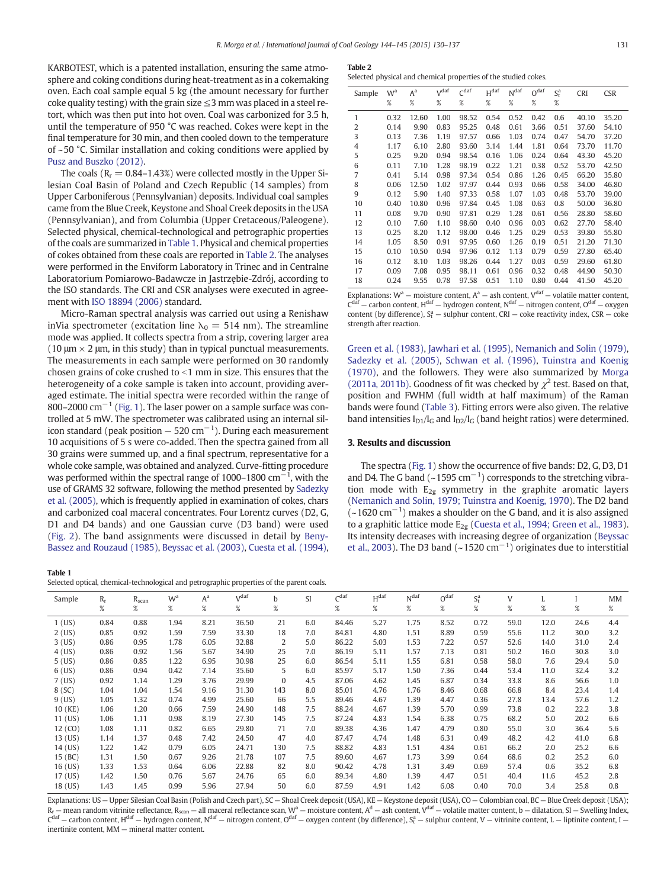KARBOTEST, which is a patented installation, ensuring the same atmosphere and coking conditions during heat-treatment as in a cokemaking oven. Each coal sample equal 5 kg (the amount necessary for further coke quality testing) with the grain size  $\leq$ 3 mm was placed in a steel retort, which was then put into hot oven. Coal was carbonized for 3.5 h, until the temperature of 950 °C was reached. Cokes were kept in the final temperature for 30 min, and then cooled down to the temperature of ~50 °C. Similar installation and coking conditions were applied by [Pusz and Buszko \(2012\)](#page--1-0).

The coals ( $R_r = 0.84 - 1.43\%$ ) were collected mostly in the Upper Silesian Coal Basin of Poland and Czech Republic (14 samples) from Upper Carboniferous (Pennsylvanian) deposits. Individual coal samples came from the Blue Creek, Keystone and Shoal Creek deposits in the USA (Pennsylvanian), and from Columbia (Upper Cretaceous/Paleogene). Selected physical, chemical-technological and petrographic properties of the coals are summarized in Table 1. Physical and chemical properties of cokes obtained from these coals are reported in Table 2. The analyses were performed in the Enviform Laboratory in Trinec and in Centralne Laboratorium Pomiarowo-Badawcze in Jastrzębie-Zdrój, according to the ISO standards. The CRI and CSR analyses were executed in agreement with [ISO 18894 \(2006\)](#page--1-0) standard.

Micro-Raman spectral analysis was carried out using a Renishaw inVia spectrometer (excitation line  $\lambda_0 = 514$  nm). The streamline mode was applied. It collects spectra from a strip, covering larger area (10  $\mu$ m  $\times$  2  $\mu$ m, in this study) than in typical punctual measurements. The measurements in each sample were performed on 30 randomly chosen grains of coke crushed to  $\leq$ 1 mm in size. This ensures that the heterogeneity of a coke sample is taken into account, providing averaged estimate. The initial spectra were recorded within the range of 800–2000 cm<sup>-1</sup> ([Fig. 1](#page--1-0)). The laser power on a sample surface was controlled at 5 mW. The spectrometer was calibrated using an internal silicon standard (peak position — 520 cm $^{-1}$ ). During each measurement 10 acquisitions of 5 s were co-added. Then the spectra gained from all 30 grains were summed up, and a final spectrum, representative for a whole coke sample, was obtained and analyzed. Curve-fitting procedure was performed within the spectral range of 1000–1800  $\rm cm^{-1}$ , with the use of GRAMS 32 software, following the method presented by [Sadezky](#page--1-0) [et al. \(2005\),](#page--1-0) which is frequently applied in examination of cokes, chars and carbonized coal maceral concentrates. Four Lorentz curves (D2, G, D1 and D4 bands) and one Gaussian curve (D3 band) were used [\(Fig. 2](#page--1-0)). The band assignments were discussed in detail by [Beny-](#page--1-0)[Bassez and Rouzaud \(1985\)](#page--1-0), [Beyssac et al. \(2003\)](#page--1-0), [Cuesta et al. \(1994\),](#page--1-0)

### Table 1

|--|--|

Selected physical and chemical properties of the studied cokes.

| Sample | W <sup>a</sup> | A <sup>a</sup> | Vdaf<br>C <sup>daf</sup><br>%<br>% |       | $H^{daf}$ | N <sup>daf</sup> | O <sup>daf</sup> | $S^a_t$ | <b>CRI</b> | <b>CSR</b> |  |
|--------|----------------|----------------|------------------------------------|-------|-----------|------------------|------------------|---------|------------|------------|--|
|        | %              | %              |                                    |       | %         | %                | %                | $\%$    |            |            |  |
| 1      | 0.32           | 12.60          | 1.00                               | 98.52 | 0.54      | 0.52             | 0.42             | 0.6     | 40.10      | 35.20      |  |
| 2      | 0.14           | 9.90           | 0.83                               | 95.25 | 0.48      | 0.61             | 3.66             | 0.51    | 37.60      | 54.10      |  |
| 3      | 0.13           | 7.36           | 1.19                               | 97.57 | 0.66      | 1.03             | 0.74             | 0.47    | 54.70      | 37.20      |  |
| 4      | 1.17           | 6.10           | 2.80                               | 93.60 | 3.14      | 1.44             | 1.81             | 0.64    | 73.70      | 11.70      |  |
| 5      | 0.25           | 9.20           | 0.94                               | 98.54 | 0.16      | 1.06             | 0.24             | 0.64    | 43.30      | 45.20      |  |
| 6      | 0.11           | 7.10           | 1.28                               | 98.19 | 0.22      | 1.21             | 0.38             | 0.52    | 53.70      | 42.50      |  |
| 7      | 0.41           | 5.14           | 0.98                               | 97.34 | 0.54      | 0.86             | 1.26             | 0.45    | 66.20      | 35.80      |  |
| 8      | 0.06           | 12.50          | 1.02                               | 97.97 | 0.44      | 0.93             | 0.66             | 0.58    | 34.00      | 46.80      |  |
| 9      | 0.12           | 5.90           | 1.40                               | 97.33 | 0.58      | 1.07             | 1.03             | 0.48    | 53.70      | 39.00      |  |
| 10     | 0.40           | 10.80          | 0.96                               | 97.84 | 0.45      | 1.08             | 0.63             | 0.8     | 50.00      | 36.80      |  |
| 11     | 0.08           | 9.70           | 0.90                               | 97.81 | 0.29      | 1.28             | 0.61             | 0.56    | 28.80      | 58.60      |  |
| 12     | 0.10           | 7.60           | 1.10                               | 98.60 | 0.40      | 0.96             | 0.03             | 0.62    | 27.70      | 58.40      |  |
| 13     | 0.25           | 8.20           | 1.12                               | 98.00 | 0.46      | 1.25             | 0.29             | 0.53    | 39.80      | 55.80      |  |
| 14     | 1.05           | 8.50           | 0.91                               | 97.95 | 0.60      | 1.26             | 0.19             | 0.51    | 21.20      | 71.30      |  |
| 15     | 0.10           | 10.50          | 0.94                               | 97.96 | 0.12      | 1.13             | 0.79             | 0.59    | 27.80      | 65.40      |  |
| 16     | 0.12           | 8.10           | 1.03                               | 98.26 | 0.44      | 1.27             | 0.03             | 0.59    | 29.60      | 61.80      |  |
| 17     | 0.09           | 7.08           | 0.95                               | 98.11 | 0.61      | 0.96             | 0.32             | 0.48    | 44.90      | 50.30      |  |
| 18     | 0.24           | 9.55           | 0.78                               | 97.58 | 0.51      | 1.10             | 0.80             | 0.44    | 41.50      | 45.20      |  |

Explanations:  $W^a$  – moisture content,  $A^a$  – ash content,  $V^{daf}$  – volatile matter content,  $C^{daf}$  – carbon content,  $H^{dat}$  – hydrogen content,  $N^{dat}$  – nitrogen content,  $O^{dat}$  – oxygen content (by difference),  $S_t^a$  – sulphur content, CRI – coke reactivity index, CSR – coke strength after reaction.

[Green et al. \(1983\),](#page--1-0) [Jawhari et al. \(1995\)](#page--1-0), [Nemanich and Solin \(1979\),](#page--1-0) [Sadezky et al. \(2005\),](#page--1-0) [Schwan et al. \(1996\)](#page--1-0), [Tuinstra and Koenig](#page--1-0) [\(1970\)](#page--1-0), and the followers. They were also summarized by [Morga](#page--1-0) [\(2011a, 2011b\)](#page--1-0). Goodness of fit was checked by  $\chi^2$  test. Based on that, position and FWHM (full width at half maximum) of the Raman bands were found [\(Table 3](#page--1-0)). Fitting errors were also given. The relative band intensities  $I_{D1}/I_G$  and  $I_{D2}/I_G$  (band height ratios) were determined.

## 3. Results and discussion

The spectra [\(Fig. 1](#page--1-0)) show the occurrence of five bands: D2, G, D3, D1 and D4. The G band (~1595 cm<sup>-1</sup>) corresponds to the stretching vibration mode with  $E_{2g}$  symmetry in the graphite aromatic layers [\(Nemanich and Solin, 1979; Tuinstra and Koenig, 1970](#page--1-0)). The D2 band (~1620 cm−<sup>1</sup> ) makes a shoulder on the G band, and it is also assigned to a graphitic lattice mode  $E_{2g}$  ([Cuesta et al., 1994; Green et al., 1983](#page--1-0)). Its intensity decreases with increasing degree of organization [\(Beyssac](#page--1-0) [et al., 2003](#page--1-0)). The D3 band (~1520  $cm^{-1}$ ) originates due to interstitial

| Sample    | $R_r$ | $R_{scan}$ | W <sup>a</sup> | $A^a$ | Vdaf  | b.           | <b>SI</b> | C <sup>dar</sup> | $H^{daf}$ | Ndaf | O <sup>dar</sup> | $S^a_t$ | V    |      |      | MM  |
|-----------|-------|------------|----------------|-------|-------|--------------|-----------|------------------|-----------|------|------------------|---------|------|------|------|-----|
|           | %     | $\%$       | %              | %     | $\%$  | %            |           | %                | $\%$      | $\%$ | %                | $\%$    | %    | %    | %    | %   |
| $1$ (US)  | 0.84  | 0.88       | 1.94           | 8.21  | 36.50 | 21           | 6.0       | 84.46            | 5.27      | 1.75 | 8.52             | 0.72    | 59.0 | 12.0 | 24.6 | 4.4 |
| $2$ (US)  | 0.85  | 0.92       | 1.59           | 7.59  | 33.30 | 18           | 7.0       | 84.81            | 4.80      | 1.51 | 8.89             | 0.59    | 55.6 | 11.2 | 30.0 | 3.2 |
| $3$ (US)  | 0.86  | 0.95       | 1.78           | 6.05  | 32.88 | 2            | 5.0       | 86.22            | 5.03      | 1.53 | 7.22             | 0.57    | 52.6 | 14.0 | 31.0 | 2.4 |
| $4$ (US)  | 0.86  | 0.92       | 1.56           | 5.67  | 34.90 | 25           | 7.0       | 86.19            | 5.11      | 1.57 | 7.13             | 0.81    | 50.2 | 16.0 | 30.8 | 3.0 |
| $5$ (US)  | 0.86  | 0.85       | 1.22           | 6.95  | 30.98 | 25           | 6.0       | 86.54            | 5.11      | 1.55 | 6.81             | 0.58    | 58.0 | 7.6  | 29.4 | 5.0 |
| $6$ (US)  | 0.86  | 0.94       | 0.42           | 7.14  | 35.60 | 5            | 6.0       | 85.97            | 5.17      | 1.50 | 7.36             | 0.44    | 53.4 | 11.0 | 32.4 | 3.2 |
| $7$ (US)  | 0.92  | 1.14       | 1.29           | 3.76  | 29.99 | $\mathbf{0}$ | 4.5       | 87.06            | 4.62      | 1.45 | 6.87             | 0.34    | 33.8 | 8.6  | 56.6 | 1.0 |
| 8 (SC)    | 1.04  | 1.04       | 1.54           | 9.16  | 31.30 | 143          | 8.0       | 85.01            | 4.76      | 1.76 | 8.46             | 0.68    | 66.8 | 8.4  | 23.4 | 1.4 |
| $9$ (US)  | 1.05  | 1.32       | 0.74           | 4.99  | 25.60 | 66           | 5.5       | 89.46            | 4.67      | 1.39 | 4.47             | 0.36    | 27.8 | 13.4 | 57.6 | 1.2 |
| 10 (KE)   | 1.06  | 1.20       | 0.66           | 7.59  | 24.90 | 148          | 7.5       | 88.24            | 4.67      | 1.39 | 5.70             | 0.99    | 73.8 | 0.2  | 22.2 | 3.8 |
| $11$ (US) | 1.06  | 1.11       | 0.98           | 8.19  | 27.30 | 145          | 7.5       | 87.24            | 4.83      | 1.54 | 6.38             | 0.75    | 68.2 | 5.0  | 20.2 | 6.6 |
| 12 (CO)   | 1.08  | 1.11       | 0.82           | 6.65  | 29.80 | 71           | 7.0       | 89.38            | 4.36      | 1.47 | 4.79             | 0.80    | 55.0 | 3.0  | 36.4 | 5.6 |
| 13 (US)   | 1.14  | 1.37       | 0.48           | 7.42  | 24.50 | 47           | 4.0       | 87.47            | 4.74      | 1.48 | 6.31             | 0.49    | 48.2 | 4.2  | 41.0 | 6.8 |
| 14 (US)   | 1.22  | 1.42       | 0.79           | 6.05  | 24.71 | 130          | 7.5       | 88.82            | 4.83      | 1.51 | 4.84             | 0.61    | 66.2 | 2.0  | 25.2 | 6.6 |
| 15 (BC)   | 1.31  | 1.50       | 0.67           | 9.26  | 21.78 | 107          | 7.5       | 89.60            | 4.67      | 1.73 | 3.99             | 0.64    | 68.6 | 0.2  | 25.2 | 6.0 |
| 16 (US)   | 1.33  | 1.53       | 0.64           | 6.06  | 22.88 | 82           | 8.0       | 90.42            | 4.78      | 1.31 | 3.49             | 0.69    | 57.4 | 0.6  | 35.2 | 6.8 |
| 17 (US)   | 1.42  | 1.50       | 0.76           | 5.67  | 24.76 | 65           | 6.0       | 89.34            | 4.80      | 1.39 | 4.47             | 0.51    | 40.4 | 11.6 | 45.2 | 2.8 |
| 18 (US)   | 1.43  | 1.45       | 0.99           | 5.96  | 27.94 | 50           | 6.0       | 87.59            | 4.91      | 1.42 | 6.08             | 0.40    | 70.0 | 3.4  | 25.8 | 0.8 |

Explanations: US — Upper Silesian Coal Basin (Polish and Czech part), SC — Shoal Creek deposit (USA), KE — Keystone deposit (USA), CO — Colombian coal, BC — Blue Creek deposit (USA); – mean random vitrinite reflectance, R<sub>scan</sub> – all maceral reflectance scan, W<sup>a</sup> – moisture content, A<sup>d</sup> – ash content, V<sup>daf</sup> – volatile matter content, b – dilatation, SI – Swelling Index,  $C^{\text{daf}}$  — carbon content, H<sup>daf</sup> — hydrogen content, N<sup>daf</sup> — nitrogen content, O<sup>daf</sup> — oxygen content (by difference), S<sub>t</sub> — sulphur content, V — vitrinite content, L — liptinite content, I inertinite content, MM — mineral matter content.

Selected optical, chemical-technological and petrographic properties of the parent coals.